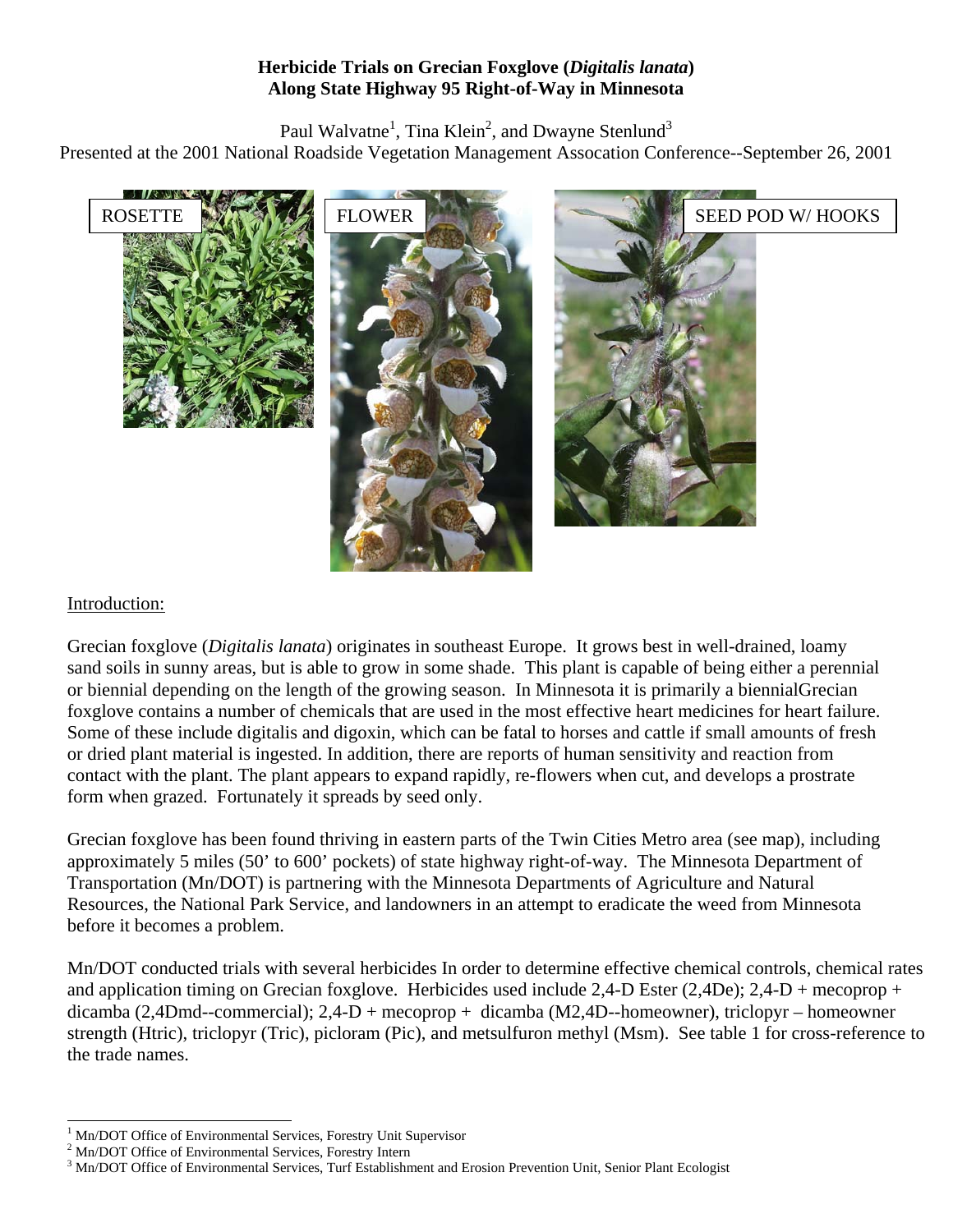## **Herbicide Trials on Grecian Foxglove (***Digitalis lanata***) Along State Highway 95 Right-of-Way in Minnesota**

Paul Walvatne<sup>[1](#page-0-0)</sup>, Tina Klein<sup>[2](#page-0-1)</sup>, and Dwayne Stenlund<sup>[3](#page-0-2)</sup> Presented at the 2001 National Roadside Vegetation Management Assocation Conference--September 26, 2001



#### Introduction:

Grecian foxglove (*Digitalis lanata*) originates in southeast Europe. It grows best in well-drained, loamy sand soils in sunny areas, but is able to grow in some shade. This plant is capable of being either a perennial or biennial depending on the length of the growing season. In Minnesota it is primarily a biennialGrecian foxglove contains a number of chemicals that are used in the most effective heart medicines for heart failure. Some of these include digitalis and digoxin, which can be fatal to horses and cattle if small amounts of fresh or dried plant material is ingested. In addition, there are reports of human sensitivity and reaction from contact with the plant. The plant appears to expand rapidly, re-flowers when cut, and develops a prostrate form when grazed. Fortunately it spreads by seed only.

Grecian foxglove has been found thriving in eastern parts of the Twin Cities Metro area (see map), including approximately 5 miles (50' to 600' pockets) of state highway right-of-way. The Minnesota Department of Transportation (Mn/DOT) is partnering with the Minnesota Departments of Agriculture and Natural Resources, the National Park Service, and landowners in an attempt to eradicate the weed from Minnesota before it becomes a problem.

Mn/DOT conducted trials with several herbicides In order to determine effective chemical controls, chemical rates and application timing on Grecian foxglove. Herbicides used include 2,4-D Ester (2,4De);  $2,4-D$  + mecoprop + dicamba (2,4Dmd--commercial); 2,4-D + mecoprop + dicamba (M2,4D--homeowner), triclopyr – homeowner strength (Htric), triclopyr (Tric), picloram (Pic), and metsulfuron methyl (Msm). See table 1 for cross-reference to the trade names.

<span id="page-0-0"></span> $\frac{1}{1}$ Mn/DOT Office of Environmental Services, Forestry Unit Supervisor <sup>2</sup>

<span id="page-0-1"></span> $2$  Mn/DOT Office of Environmental Services, Forestry Intern

<span id="page-0-2"></span><sup>&</sup>lt;sup>3</sup> Mn/DOT Office of Environmental Services, Turf Establishment and Erosion Prevention Unit, Senior Plant Ecologist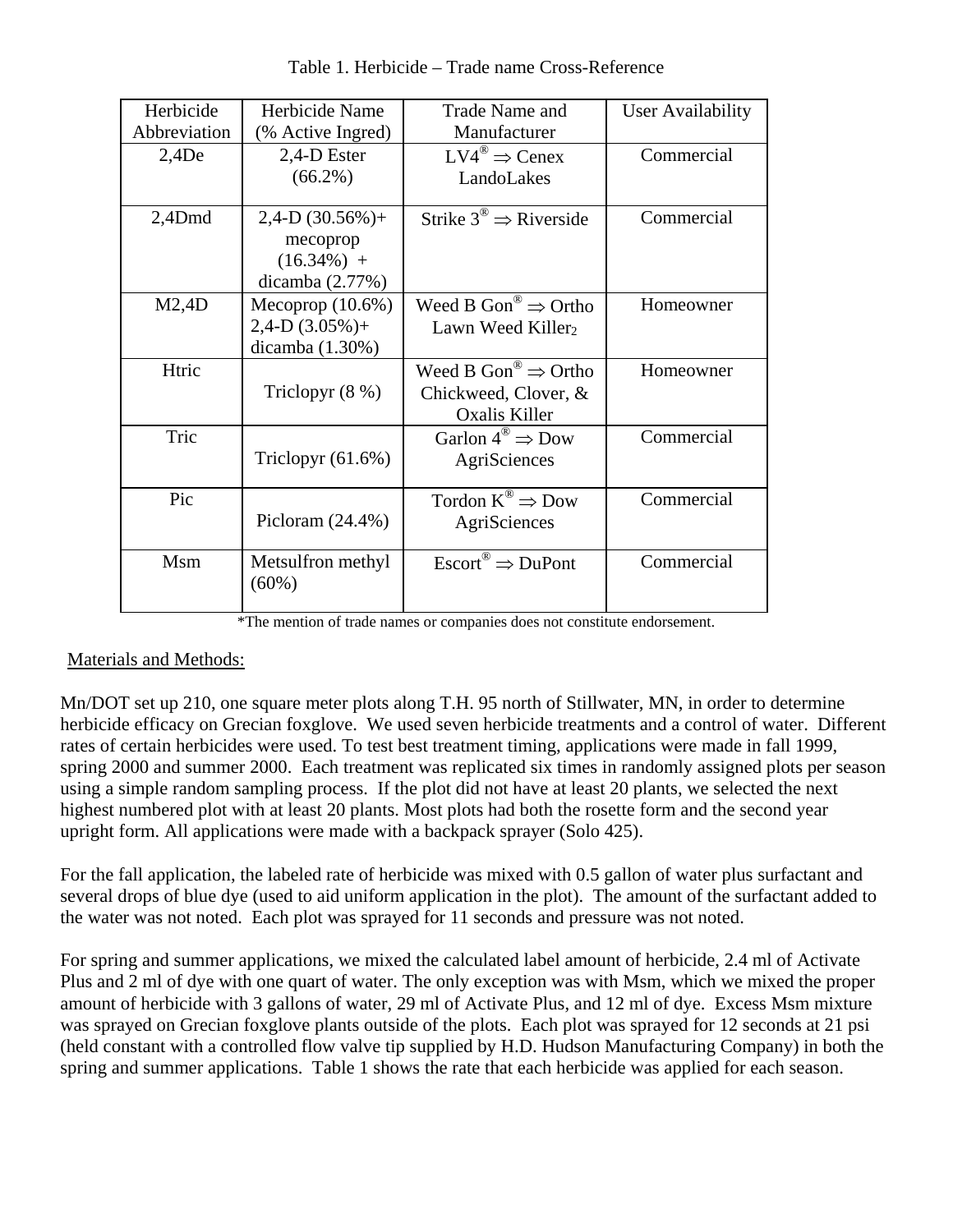| Herbicide    | Herbicide Name       | Trade Name and                                        | User Availability |  |
|--------------|----------------------|-------------------------------------------------------|-------------------|--|
| Abbreviation | (% Active Ingred)    | Manufacturer                                          |                   |  |
| 2,4De        | 2,4-D Ester          | $LV4^{\circledcirc} \Rightarrow$ Cenex                | Commercial        |  |
|              | $(66.2\%)$           | LandoLakes                                            |                   |  |
| $2,4$ Dmd    | $2,4-D$ (30.56%)+    | Strike $3^{\circledcirc} \Rightarrow$ Riverside       | Commercial        |  |
|              | mecoprop             |                                                       |                   |  |
|              | $(16.34\%) +$        |                                                       |                   |  |
|              | dicamba $(2.77%)$    |                                                       |                   |  |
| M2,4D        | Mecoprop $(10.6\%)$  | Weed B Gon <sup>®</sup> $\Rightarrow$ Ortho           | Homeowner         |  |
|              | $2,4-D$ (3.05%)+     | Lawn Weed Killer <sub>2</sub>                         |                   |  |
|              | dicamba $(1.30\%)$   |                                                       |                   |  |
| Htric        |                      | Weed B Gon <sup>®</sup> $\Rightarrow$ Ortho           | Homeowner         |  |
|              | Triclopyr $(8\%)$    | Chickweed, Clover, &                                  |                   |  |
|              |                      | Oxalis Killer                                         |                   |  |
| Tric         |                      | Garlon $4^{\circledR} \Rightarrow$ Dow                | Commercial        |  |
|              | Triclopyr $(61.6\%)$ | AgriSciences                                          |                   |  |
|              |                      |                                                       |                   |  |
| Pic          |                      | Tordon $K^{\circledR} \Rightarrow$ Dow                | Commercial        |  |
|              | Picloram $(24.4\%)$  | AgriSciences                                          |                   |  |
|              |                      |                                                       |                   |  |
| Msm          | Metsulfron methyl    | $\text{Escont}^{\circledR} \Rightarrow \text{DuPont}$ | Commercial        |  |
|              | $(60\%)$             |                                                       |                   |  |
|              |                      |                                                       |                   |  |

Table 1. Herbicide – Trade name Cross-Reference

## Materials and Methods:

Mn/DOT set up 210, one square meter plots along T.H. 95 north of Stillwater, MN, in order to determine herbicide efficacy on Grecian foxglove. We used seven herbicide treatments and a control of water. Different rates of certain herbicides were used. To test best treatment timing, applications were made in fall 1999, spring 2000 and summer 2000. Each treatment was replicated six times in randomly assigned plots per season using a simple random sampling process. If the plot did not have at least 20 plants, we selected the next highest numbered plot with at least 20 plants. Most plots had both the rosette form and the second year upright form. All applications were made with a backpack sprayer (Solo 425).

For the fall application, the labeled rate of herbicide was mixed with 0.5 gallon of water plus surfactant and several drops of blue dye (used to aid uniform application in the plot). The amount of the surfactant added to the water was not noted. Each plot was sprayed for 11 seconds and pressure was not noted.

For spring and summer applications, we mixed the calculated label amount of herbicide, 2.4 ml of Activate Plus and 2 ml of dye with one quart of water. The only exception was with Msm, which we mixed the proper amount of herbicide with 3 gallons of water, 29 ml of Activate Plus, and 12 ml of dye. Excess Msm mixture was sprayed on Grecian foxglove plants outside of the plots. Each plot was sprayed for 12 seconds at 21 psi (held constant with a controlled flow valve tip supplied by H.D. Hudson Manufacturing Company) in both the spring and summer applications. Table 1 shows the rate that each herbicide was applied for each season.

<sup>\*</sup>The mention of trade names or companies does not constitute endorsement.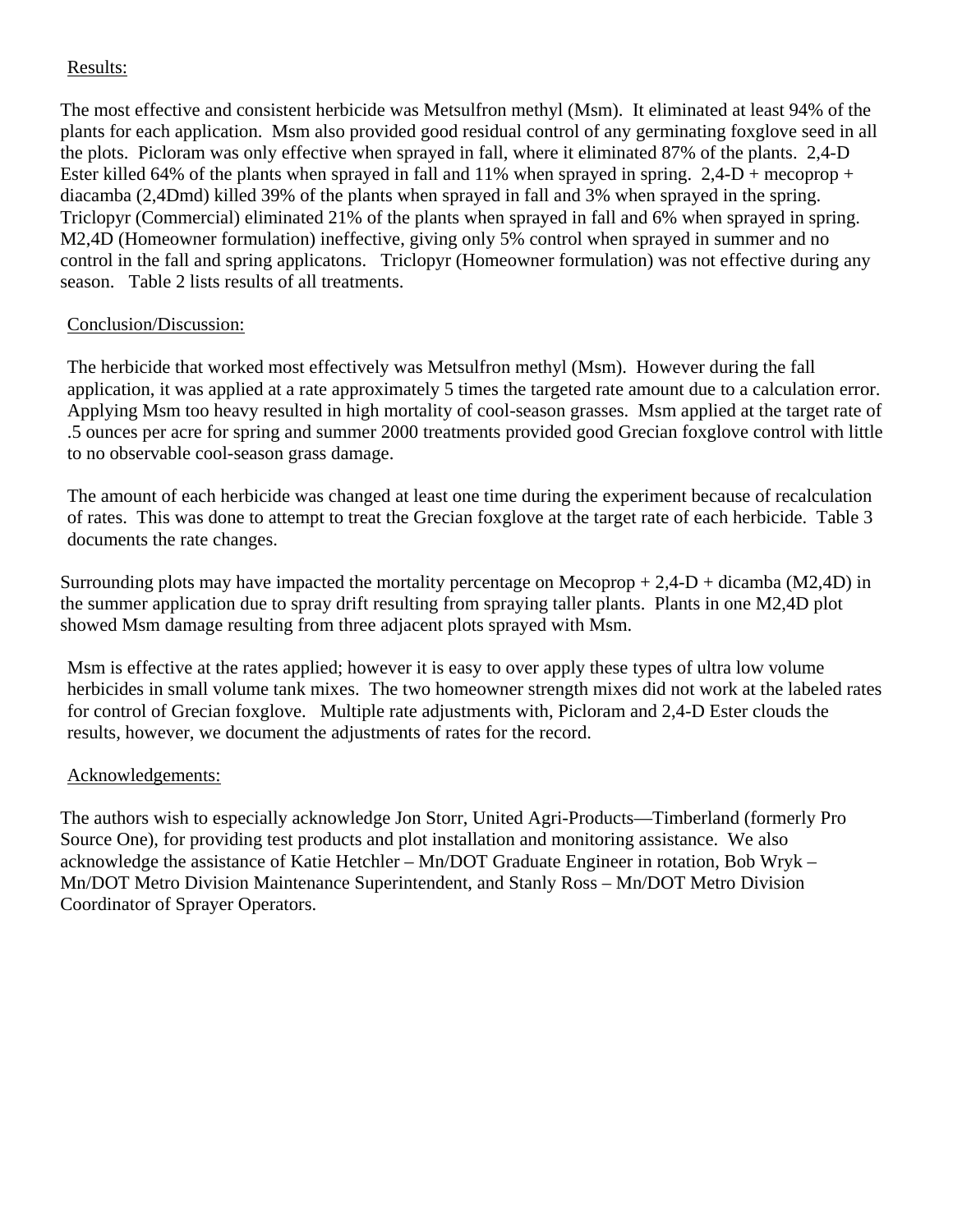# Results:

The most effective and consistent herbicide was Metsulfron methyl (Msm). It eliminated at least 94% of the plants for each application. Msm also provided good residual control of any germinating foxglove seed in all the plots. Picloram was only effective when sprayed in fall, where it eliminated 87% of the plants. 2,4-D Ester killed 64% of the plants when sprayed in fall and 11% when sprayed in spring.  $2,4-D$  + mecoprop + diacamba (2,4Dmd) killed 39% of the plants when sprayed in fall and 3% when sprayed in the spring. Triclopyr (Commercial) eliminated 21% of the plants when sprayed in fall and 6% when sprayed in spring. M2,4D (Homeowner formulation) ineffective, giving only 5% control when sprayed in summer and no control in the fall and spring applicatons. Triclopyr (Homeowner formulation) was not effective during any season. Table 2 lists results of all treatments.

## Conclusion/Discussion:

The herbicide that worked most effectively was Metsulfron methyl (Msm). However during the fall application, it was applied at a rate approximately 5 times the targeted rate amount due to a calculation error. Applying Msm too heavy resulted in high mortality of cool-season grasses. Msm applied at the target rate of .5 ounces per acre for spring and summer 2000 treatments provided good Grecian foxglove control with little to no observable cool-season grass damage.

The amount of each herbicide was changed at least one time during the experiment because of recalculation of rates. This was done to attempt to treat the Grecian foxglove at the target rate of each herbicide. Table 3 documents the rate changes.

Surrounding plots may have impacted the mortality percentage on Mecoprop  $+ 2,4-D +$  dicamba (M2,4D) in the summer application due to spray drift resulting from spraying taller plants. Plants in one M2,4D plot showed Msm damage resulting from three adjacent plots sprayed with Msm.

Msm is effective at the rates applied; however it is easy to over apply these types of ultra low volume herbicides in small volume tank mixes. The two homeowner strength mixes did not work at the labeled rates for control of Grecian foxglove. Multiple rate adjustments with, Picloram and 2,4-D Ester clouds the results, however, we document the adjustments of rates for the record.

## Acknowledgements:

The authors wish to especially acknowledge Jon Storr, United Agri-Products—Timberland (formerly Pro Source One), for providing test products and plot installation and monitoring assistance. We also acknowledge the assistance of Katie Hetchler – Mn/DOT Graduate Engineer in rotation, Bob Wryk – Mn/DOT Metro Division Maintenance Superintendent, and Stanly Ross – Mn/DOT Metro Division Coordinator of Sprayer Operators.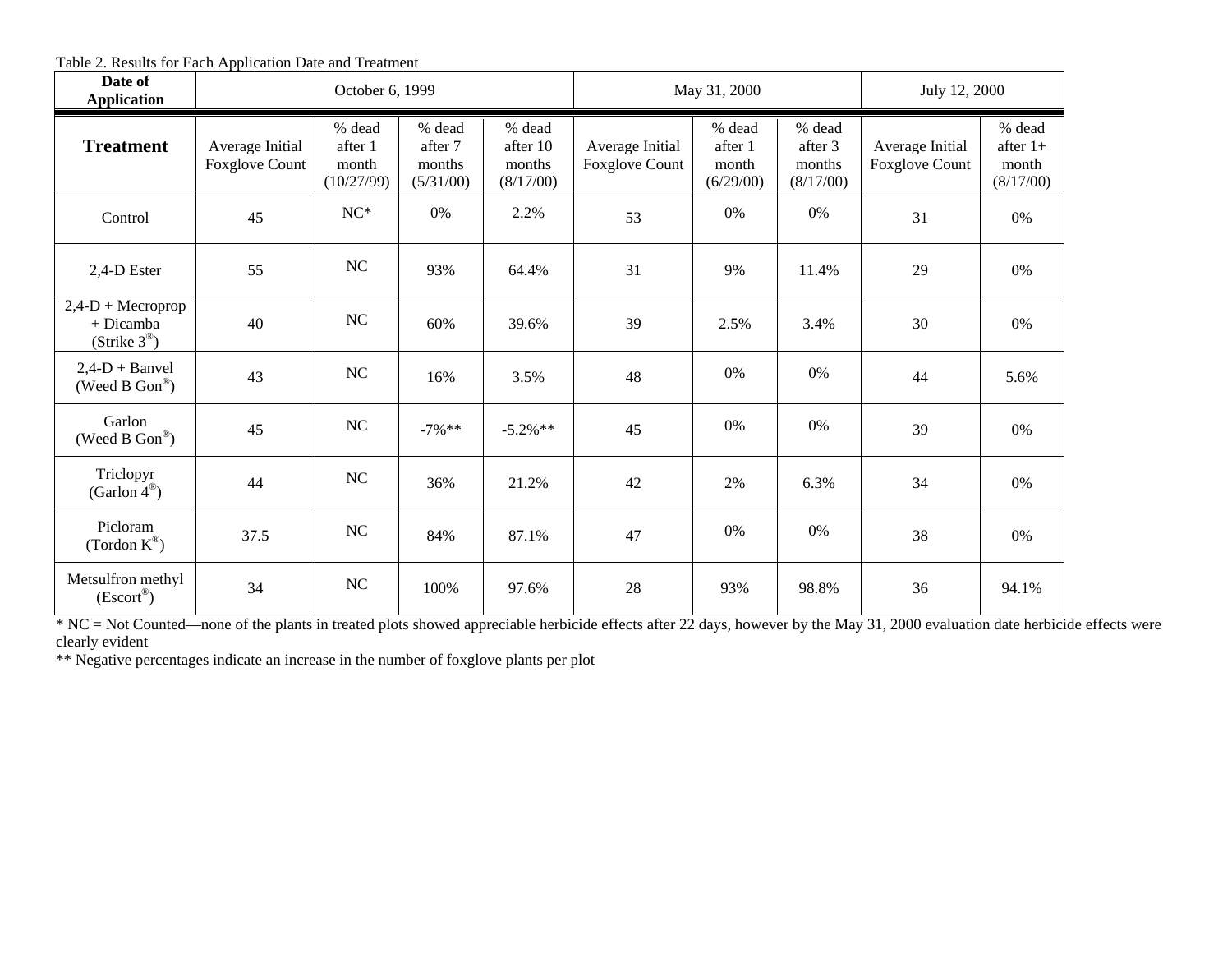Table 2. Results for Each Application Date and Treatment

| Date of<br><b>Application</b>                                       | October 6, 1999                          |                                          |                                          | May 31, 2000                              |                                          | July 12, 2000                           |                                          |                                          |                                            |
|---------------------------------------------------------------------|------------------------------------------|------------------------------------------|------------------------------------------|-------------------------------------------|------------------------------------------|-----------------------------------------|------------------------------------------|------------------------------------------|--------------------------------------------|
| <b>Treatment</b>                                                    | Average Initial<br><b>Foxglove Count</b> | % dead<br>after 1<br>month<br>(10/27/99) | % dead<br>after 7<br>months<br>(5/31/00) | % dead<br>after 10<br>months<br>(8/17/00) | Average Initial<br><b>Foxglove Count</b> | % dead<br>after 1<br>month<br>(6/29/00) | % dead<br>after 3<br>months<br>(8/17/00) | Average Initial<br><b>Foxglove Count</b> | % dead<br>after $1+$<br>month<br>(8/17/00) |
| Control                                                             | 45                                       | $NC*$                                    | 0%                                       | 2.2%                                      | 53                                       | 0%                                      | 0%                                       | 31                                       | 0%                                         |
| 2,4-D Ester                                                         | 55                                       | NC                                       | 93%                                      | 64.4%                                     | 31                                       | 9%                                      | 11.4%                                    | 29                                       | 0%                                         |
| $2,4-D + \text{Meroprop}$<br>+ Dicamba<br>(Strike $3^{\circledR}$ ) | 40                                       | <b>NC</b>                                | 60%                                      | 39.6%                                     | 39                                       | 2.5%                                    | 3.4%                                     | 30                                       | 0%                                         |
| $2,4-D + B$ anvel<br>(Weed B $Gon^@$ )                              | 43                                       | NC                                       | 16%                                      | 3.5%                                      | 48                                       | 0%                                      | 0%                                       | 44                                       | 5.6%                                       |
| Garlon<br>(Weed B $Gon^@$ )                                         | 45                                       | NC                                       | $-7\%$ **                                | $-5.2\%**$                                | 45                                       | 0%                                      | 0%                                       | 39                                       | 0%                                         |
| Triclopyr<br>(Garlon $4^{\circledR}$ )                              | 44                                       | NC                                       | 36%                                      | 21.2%                                     | 42                                       | 2%                                      | 6.3%                                     | 34                                       | $0\%$                                      |
| Picloram<br>(Tordon $K^{\circledR}$ )                               | 37.5                                     | NC                                       | 84%                                      | 87.1%                                     | 47                                       | 0%                                      | 0%                                       | 38                                       | 0%                                         |
| Metsulfron methyl<br>$(Escort^{\circledR})$                         | 34                                       | <b>NC</b>                                | 100%                                     | 97.6%                                     | 28                                       | 93%                                     | 98.8%                                    | 36                                       | 94.1%                                      |

 $N = Not$  Counted—none of the plants in treated plots showed appreciable herbicide effects after 22 days, however by the May 31, 2000 evaluation date herbicide effects were

clearly evident<br>\*\* Negative percentages indicate an increase in the number of foxglove plants per plot